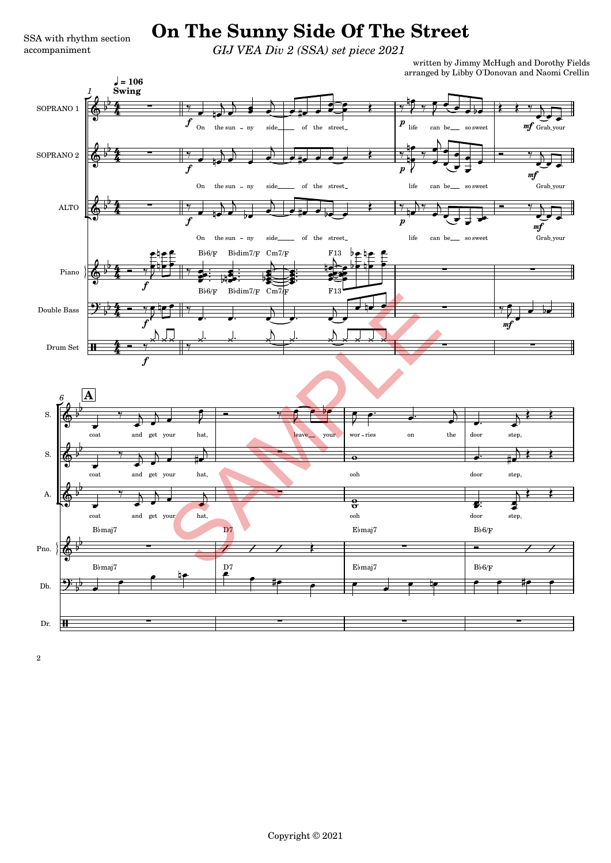## **SSA with rhythm section** On The Sunny Side Of The Street

*GIJ VEA Div 2 (SSA) set piece 2021*

written by Jimmy McHugh and Dorothy Fields arranged by Libby O'Donovan and Naomi Crellin

 $\frac{1}{2}$ 

<u>.</u>

 $\bullet$   $\bullet$   $\bullet$   $\bullet$ 



2

Dr.

 $\bf{H}$ 

9

 $\frac{1}{2}$  $\frac{1}{2}$ 

Db.

 $\overline{\phantom{a}}$ 

=

accompaniment

-

 $\bullet$   $\bullet$   $\bullet$   $\bullet$ 

<u>.</u>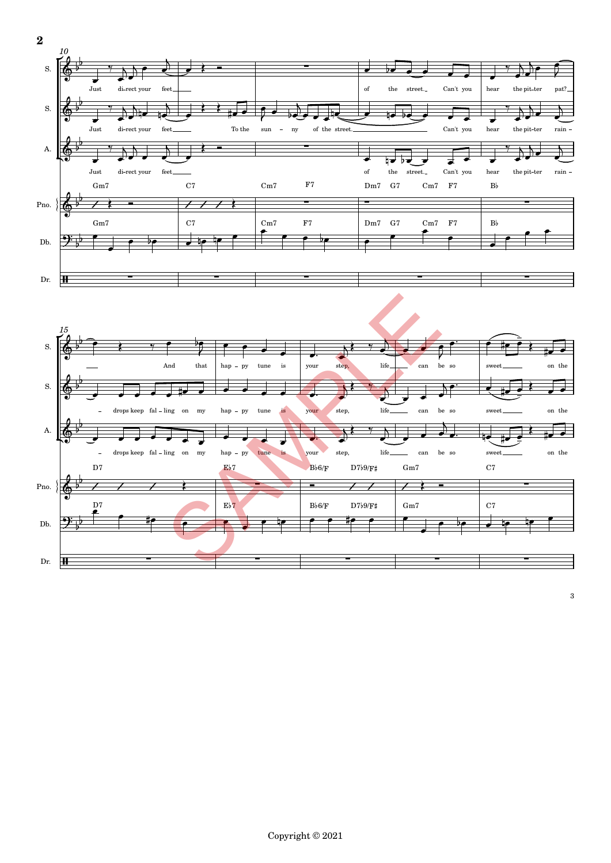

3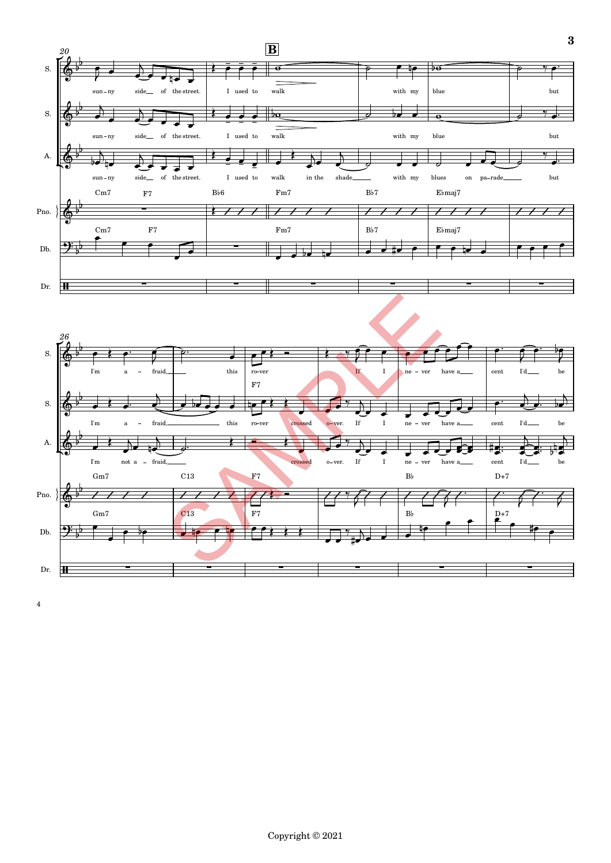

4